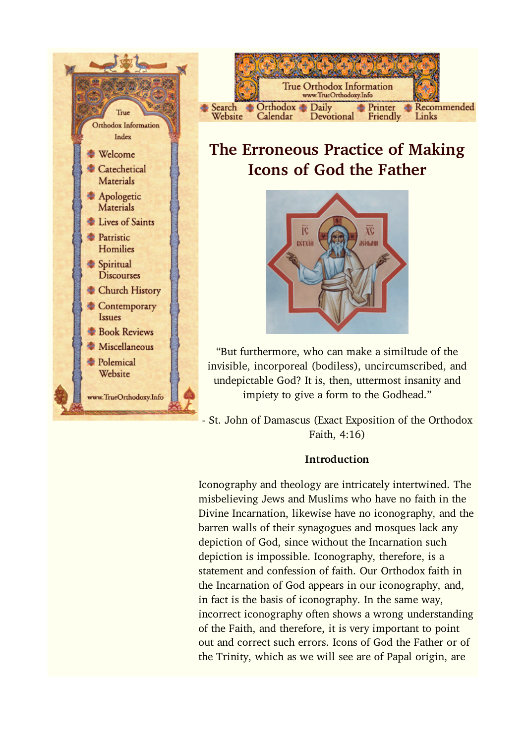



# The Erroneous Practice of Making Icons of God the Father



"But furthermore, who can make a similtude of the invisible, incorporeal (bodiless), uncircumscribed, and undepictable God? It is, then, uttermost insanity and impiety to give a form to the Godhead."

- St. John of Damascus (Exact Exposition of the Orthodox Faith, 4:16)

#### **Introduction**

Iconography and theology are intricately intertwined. The misbelieving Jews and Muslims who have no faith in the Divine Incarnation, likewise have no iconography, and the barren walls of their synagogues and mosques lack any depiction of God, since without the Incarnation such depiction is impossible. Iconography, therefore, is a statement and confession of faith. Our Orthodox faith in the Incarnation of God appears in our iconography, and, in fact is the basis of iconography. In the same way, incorrect iconography often shows a wrong understanding of the Faith, and therefore, it is very important to point out and correct such errors. Icons of God the Father or of the Trinity, which as we will see are of Papal origin, are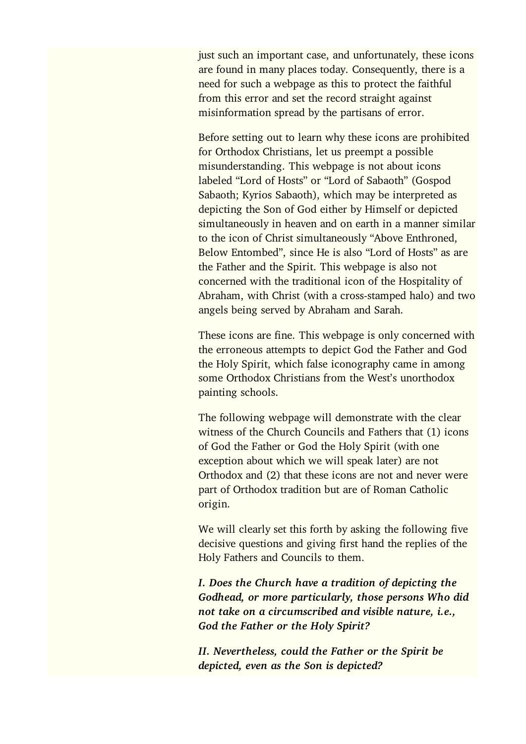just such an important case, and unfortunately, these icons are found in many places today. Consequently, there is a need for such a webpage as this to protect the faithful from this error and set the record straight against misinformation spread by the partisans of error.

Before setting out to learn why these icons are prohibited for Orthodox Christians, let us preempt a possible misunderstanding. This webpage is not about icons labeled "Lord of Hosts" or "Lord of Sabaoth" (Gospod Sabaoth; Kyrios Sabaoth), which may be interpreted as depicting the Son of God either by Himself or depicted simultaneously in heaven and on earth in a manner similar to the icon of Christ simultaneously "Above Enthroned, Below Entombed", since He is also "Lord of Hosts" as are the Father and the Spirit. This webpage is also not concerned with the traditional icon of the Hospitality of Abraham, with Christ (with a cross-stamped halo) and two angels being served by Abraham and Sarah.

These icons are fine. This webpage is only concerned with the erroneous attempts to depict God the Father and God the Holy Spirit, which false iconography came in among some Orthodox Christians from the West's unorthodox painting schools.

The following webpage will demonstrate with the clear witness of the Church Councils and Fathers that (1) icons of God the Father or God the Holy Spirit (with one exception about which we will speak later) are not Orthodox and (2) that these icons are not and never were part of Orthodox tradition but are of Roman Catholic origin.

We will clearly set this forth by asking the following five decisive questions and giving first hand the replies of the Holy Fathers and Councils to them.

I. Does the Church have a tradition of depicting the Godhead, or more particularly, those persons Who did not take on a circumscribed and visible nature, i.e., God the Father or the Holy Spirit?

II. Nevertheless, could the Father or the Spirit be depicted, even as the Son is depicted?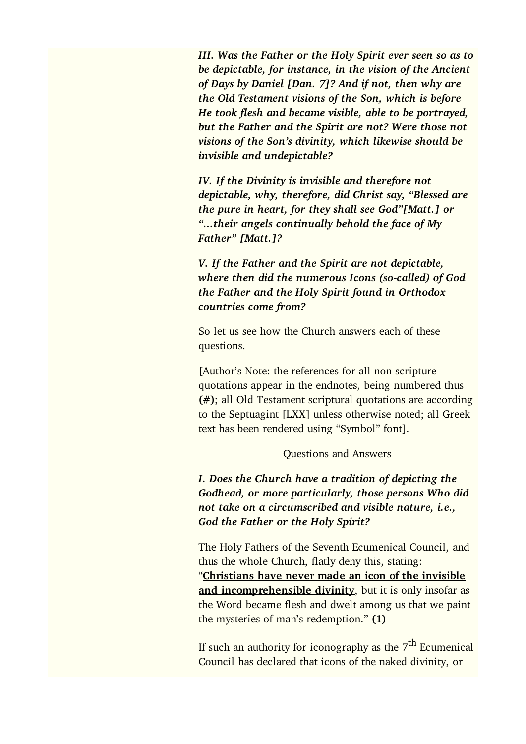III. Was the Father or the Holy Spirit ever seen so as to be depictable, for instance, in the vision of the Ancient of Days by Daniel [Dan. 7]? And if not, then why are the Old Testament visions of the Son, which is before He took flesh and became visible, able to be portrayed, but the Father and the Spirit are not? Were those not visions of the Son's divinity, which likewise should be invisible and undepictable?

IV. If the Divinity is invisible and therefore not depictable, why, therefore, did Christ say, "Blessed are the pure in heart, for they shall see God"[Matt.] or "...their angels continually behold the face of My Father" [Matt.]?

V. If the Father and the Spirit are not depictable, where then did the numerous Icons (so-called) of God the Father and the Holy Spirit found in Orthodox countries come from?

So let us see how the Church answers each of these questions.

[Author's Note: the references for all non-scripture quotations appear in the endnotes, being numbered thus (#); all Old Testament scriptural quotations are according to the Septuagint [LXX] unless otherwise noted; all Greek text has been rendered using "Symbol" font].

Questions and Answers

I. Does the Church have a tradition of depicting the Godhead, or more particularly, those persons Who did not take on a circumscribed and visible nature, i.e., God the Father or the Holy Spirit?

The Holy Fathers of the Seventh Ecumenical Council, and thus the whole Church, flatly deny this, stating: "Christians have never made an icon of the invisible and incomprehensible divinity, but it is only insofar as the Word became flesh and dwelt among us that we paint the mysteries of man's redemption." (1)

If such an authority for iconography as the  $7<sup>th</sup>$  Ecumenical Council has declared that icons of the naked divinity, or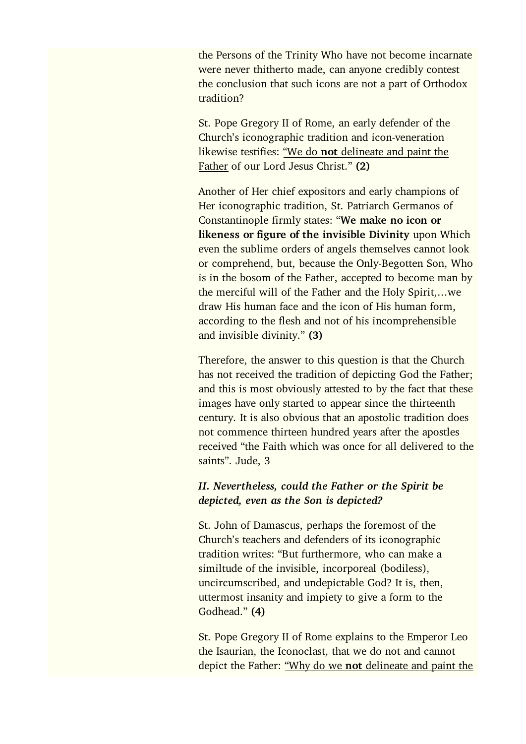the Persons of the Trinity Who have not become incarnate were never thitherto made, can anyone credibly contest the conclusion that such icons are not a part of Orthodox tradition?

St. Pope Gregory II of Rome, an early defender of the Church's iconographic tradition and icon-veneration likewise testifies: "We do not delineate and paint the Father of our Lord Jesus Christ." (2)

Another of Her chief expositors and early champions of Her iconographic tradition, St. Patriarch Germanos of Constantinople firmly states: "We make no icon or likeness or figure of the invisible Divinity upon Which even the sublime orders of angels themselves cannot look or comprehend, but, because the Only-Begotten Son, Who is in the bosom of the Father, accepted to become man by the merciful will of the Father and the Holy Spirit,...we draw His human face and the icon of His human form, according to the flesh and not of his incomprehensible and invisible divinity." (3)

Therefore, the answer to this question is that the Church has not received the tradition of depicting God the Father; and this is most obviously attested to by the fact that these images have only started to appear since the thirteenth century. It is also obvious that an apostolic tradition does not commence thirteen hundred years after the apostles received "the Faith which was once for all delivered to the saints". Jude, 3

## II. Nevertheless, could the Father or the Spirit be depicted, even as the Son is depicted?

St. John of Damascus, perhaps the foremost of the Church's teachers and defenders of its iconographic tradition writes: "But furthermore, who can make a similtude of the invisible, incorporeal (bodiless), uncircumscribed, and undepictable God? It is, then, uttermost insanity and impiety to give a form to the Godhead." (4)

St. Pope Gregory II of Rome explains to the Emperor Leo the Isaurian, the Iconoclast, that we do not and cannot depict the Father: "Why do we not delineate and paint the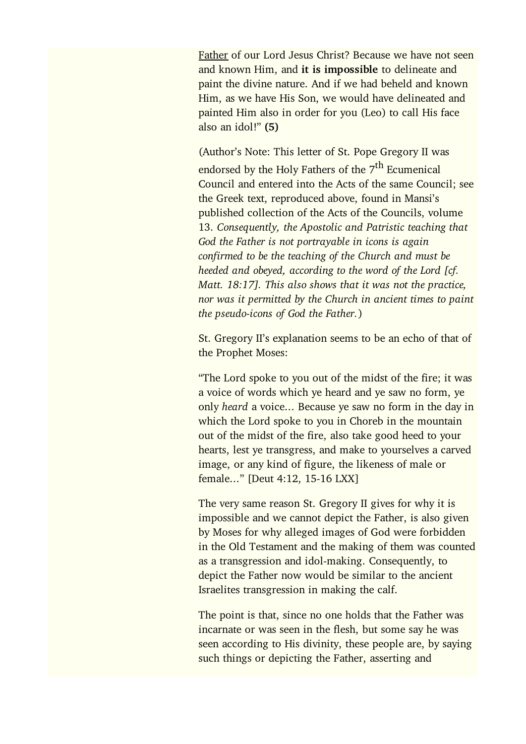Father of our Lord Jesus Christ? Because we have not seen and known Him, and it is impossible to delineate and paint the divine nature. And if we had beheld and known Him, as we have His Son, we would have delineated and painted Him also in order for you (Leo) to call His face also an idol!" (5)

(Author's Note: This letter of St. Pope Gregory II was endorsed by the Holy Fathers of the  $7<sup>th</sup>$  Ecumenical Council and entered into the Acts of the same Council; see the Greek text, reproduced above, found in Mansi's published collection of the Acts of the Councils, volume 13. Consequently, the Apostolic and Patristic teaching that God the Father is not portrayable in icons is again confirmed to be the teaching of the Church and must be heeded and obeyed, according to the word of the Lord [cf. Matt. 18:17]. This also shows that it was not the practice, nor was it permitted by the Church in ancient times to paint the pseudo-icons of God the Father.)

St. Gregory II's explanation seems to be an echo of that of the Prophet Moses:

"The Lord spoke to you out of the midst of the fire; it was a voice of words which ye heard and ye saw no form, ye only heard a voice... Because ye saw no form in the day in which the Lord spoke to you in Choreb in the mountain out of the midst of the fire, also take good heed to your hearts, lest ye transgress, and make to yourselves a carved image, or any kind of figure, the likeness of male or female..." [Deut 4:12, 15-16 LXX]

The very same reason St. Gregory II gives for why it is impossible and we cannot depict the Father, is also given by Moses for why alleged images of God were forbidden in the Old Testament and the making of them was counted as a transgression and idol-making. Consequently, to depict the Father now would be similar to the ancient Israelites transgression in making the calf.

The point is that, since no one holds that the Father was incarnate or was seen in the flesh, but some say he was seen according to His divinity, these people are, by saying such things or depicting the Father, asserting and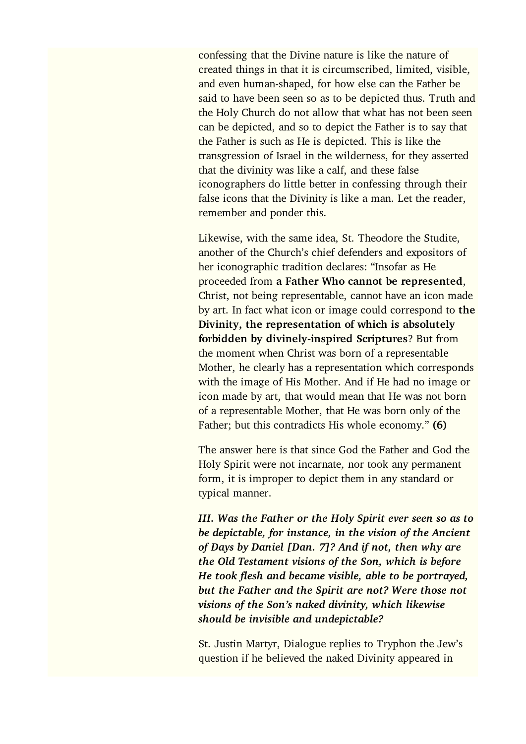confessing that the Divine nature is like the nature of created things in that it is circumscribed, limited, visible, and even human-shaped, for how else can the Father be said to have been seen so as to be depicted thus. Truth and the Holy Church do not allow that what has not been seen can be depicted, and so to depict the Father is to say that the Father is such as He is depicted. This is like the transgression of Israel in the wilderness, for they asserted that the divinity was like a calf, and these false iconographers do little better in confessing through their false icons that the Divinity is like a man. Let the reader, remember and ponder this.

Likewise, with the same idea, St. Theodore the Studite, another of the Church's chief defenders and expositors of her iconographic tradition declares: "Insofar as He proceeded from a Father Who cannot be represented, Christ, not being representable, cannot have an icon made by art. In fact what icon or image could correspond to the Divinity, the representation of which is absolutely forbidden by divinely-inspired Scriptures? But from the moment when Christ was born of a representable Mother, he clearly has a representation which corresponds with the image of His Mother. And if He had no image or icon made by art, that would mean that He was not born of a representable Mother, that He was born only of the Father; but this contradicts His whole economy." (6)

The answer here is that since God the Father and God the Holy Spirit were not incarnate, nor took any permanent form, it is improper to depict them in any standard or typical manner.

III. Was the Father or the Holy Spirit ever seen so as to be depictable, for instance, in the vision of the Ancient of Days by Daniel [Dan. 7]? And if not, then why are the Old Testament visions of the Son, which is before He took flesh and became visible, able to be portrayed, but the Father and the Spirit are not? Were those not visions of the Son's naked divinity, which likewise should be invisible and undepictable?

St. Justin Martyr, Dialogue replies to Tryphon the Jew's question if he believed the naked Divinity appeared in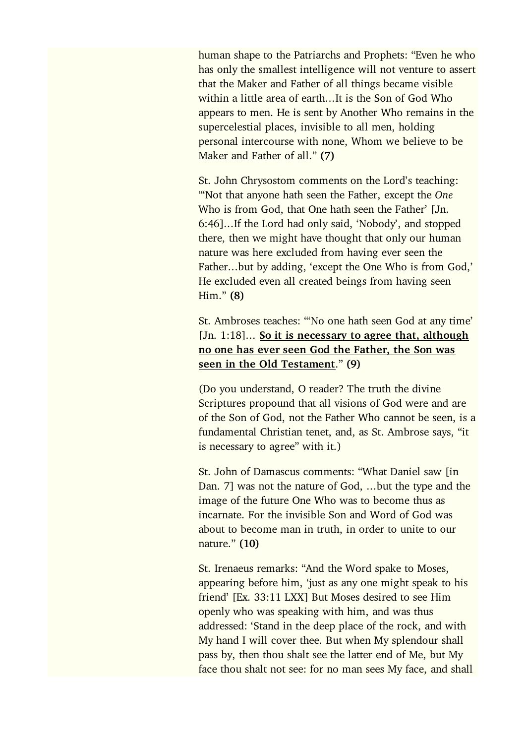human shape to the Patriarchs and Prophets: "Even he who has only the smallest intelligence will not venture to assert that the Maker and Father of all things became visible within a little area of earth...It is the Son of God Who appears to men. He is sent by Another Who remains in the supercelestial places, invisible to all men, holding personal intercourse with none, Whom we believe to be Maker and Father of all." (7)

St. John Chrysostom comments on the Lord's teaching: "Not that anyone hath seen the Father, except the One" Who is from God, that One hath seen the Father' [Jn. 6:46]...If the Lord had only said, 'Nobody', and stopped there, then we might have thought that only our human nature was here excluded from having ever seen the Father...but by adding, 'except the One Who is from God,' He excluded even all created beings from having seen Him." (8)

St. Ambroses teaches: "'No one hath seen God at any time' [Jn. 1:18]... So it is necessary to agree that, although no one has ever seen God the Father, the Son was seen in the Old Testament." (9)

(Do you understand, O reader? The truth the divine Scriptures propound that all visions of God were and are of the Son of God, not the Father Who cannot be seen, is a fundamental Christian tenet, and, as St. Ambrose says, "it is necessary to agree" with it.)

St. John of Damascus comments: "What Daniel saw [in Dan. 7] was not the nature of God, ...but the type and the image of the future One Who was to become thus as incarnate. For the invisible Son and Word of God was about to become man in truth, in order to unite to our nature." (10)

St. Irenaeus remarks: "And the Word spake to Moses, appearing before him, 'just as any one might speak to his friend' [Ex. 33:11 LXX] But Moses desired to see Him openly who was speaking with him, and was thus addressed: 'Stand in the deep place of the rock, and with My hand I will cover thee. But when My splendour shall pass by, then thou shalt see the latter end of Me, but My face thou shalt not see: for no man sees My face, and shall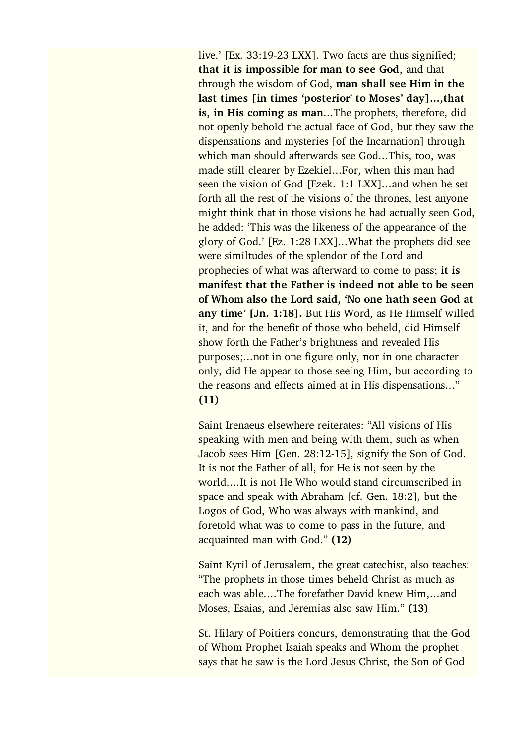live.' [Ex. 33:19-23 LXX]. Two facts are thus signified; that it is impossible for man to see God, and that through the wisdom of God, man shall see Him in the last times [in times 'posterior' to Moses' day]...,that is, in His coming as man...The prophets, therefore, did not openly behold the actual face of God, but they saw the dispensations and mysteries [of the Incarnation] through which man should afterwards see God...This, too, was made still clearer by Ezekiel...For, when this man had seen the vision of God [Ezek. 1:1 LXX]...and when he set forth all the rest of the visions of the thrones, lest anyone might think that in those visions he had actually seen God, he added: 'This was the likeness of the appearance of the glory of God.' [Ez. 1:28 LXX]...What the prophets did see were similtudes of the splendor of the Lord and prophecies of what was afterward to come to pass; it is manifest that the Father is indeed not able to be seen of Whom also the Lord said, 'No one hath seen God at any time' [Jn. 1:18]. But His Word, as He Himself willed it, and for the benefit of those who beheld, did Himself show forth the Father's brightness and revealed His purposes;...not in one figure only, nor in one character only, did He appear to those seeing Him, but according to the reasons and effects aimed at in His dispensations..." (11)

Saint Irenaeus elsewhere reiterates: "All visions of His speaking with men and being with them, such as when Jacob sees Him [Gen. 28:12-15], signify the Son of God. It is not the Father of all, for He is not seen by the world....It is not He Who would stand circumscribed in space and speak with Abraham [cf. Gen. 18:2], but the Logos of God, Who was always with mankind, and foretold what was to come to pass in the future, and acquainted man with God." (12)

Saint Kyril of Jerusalem, the great catechist, also teaches: "The prophets in those times beheld Christ as much as each was able....The forefather David knew Him,...and Moses, Esaias, and Jeremias also saw Him." (13)

St. Hilary of Poitiers concurs, demonstrating that the God of Whom Prophet Isaiah speaks and Whom the prophet says that he saw is the Lord Jesus Christ, the Son of God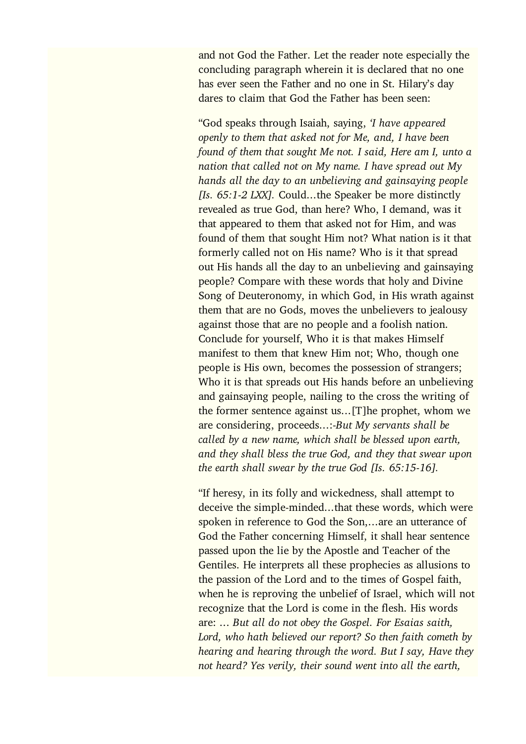and not God the Father. Let the reader note especially the concluding paragraph wherein it is declared that no one has ever seen the Father and no one in St. Hilary's day dares to claim that God the Father has been seen:

"God speaks through Isaiah, saying, 'I have appeared openly to them that asked not for Me, and, I have been found of them that sought Me not. I said, Here am I, unto a nation that called not on My name. I have spread out My hands all the day to an unbelieving and gainsaying people [Is. 65:1-2 LXX]. Could...the Speaker be more distinctly revealed as true God, than here? Who, I demand, was it that appeared to them that asked not for Him, and was found of them that sought Him not? What nation is it that formerly called not on His name? Who is it that spread out His hands all the day to an unbelieving and gainsaying people? Compare with these words that holy and Divine Song of Deuteronomy, in which God, in His wrath against them that are no Gods, moves the unbelievers to jealousy against those that are no people and a foolish nation. Conclude for yourself, Who it is that makes Himself manifest to them that knew Him not; Who, though one people is His own, becomes the possession of strangers; Who it is that spreads out His hands before an unbelieving and gainsaying people, nailing to the cross the writing of the former sentence against us...[T]he prophet, whom we are considering, proceeds...:-But My servants shall be called by a new name, which shall be blessed upon earth, and they shall bless the true God, and they that swear upon the earth shall swear by the true God [Is. 65:15-16].

"If heresy, in its folly and wickedness, shall attempt to deceive the simple-minded...that these words, which were spoken in reference to God the Son,...are an utterance of God the Father concerning Himself, it shall hear sentence passed upon the lie by the Apostle and Teacher of the Gentiles. He interprets all these prophecies as allusions to the passion of the Lord and to the times of Gospel faith, when he is reproving the unbelief of Israel, which will not recognize that the Lord is come in the flesh. His words are: ... But all do not obey the Gospel. For Esaias saith, Lord, who hath believed our report? So then faith cometh by hearing and hearing through the word. But I say, Have they not heard? Yes verily, their sound went into all the earth,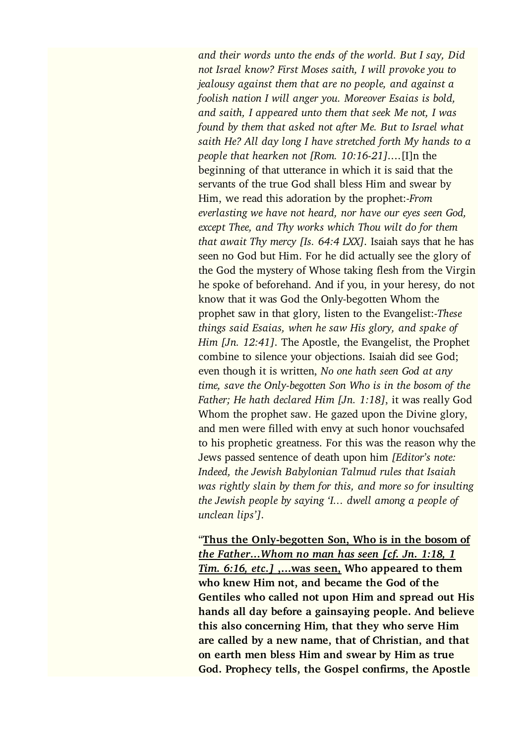and their words unto the ends of the world. But I say, Did not Israel know? First Moses saith, I will provoke you to jealousy against them that are no people, and against a foolish nation I will anger you. Moreover Esaias is bold, and saith, I appeared unto them that seek Me not, I was found by them that asked not after Me. But to Israel what saith He? All day long I have stretched forth My hands to a people that hearken not [Rom. 10:16-21]....[I]n the beginning of that utterance in which it is said that the servants of the true God shall bless Him and swear by Him, we read this adoration by the prophet:-From everlasting we have not heard, nor have our eyes seen God, except Thee, and Thy works which Thou wilt do for them that await Thy mercy  $[Is. 64:4 LXX]$ . Isaiah says that he has seen no God but Him. For he did actually see the glory of the God the mystery of Whose taking flesh from the Virgin he spoke of beforehand. And if you, in your heresy, do not know that it was God the Only-begotten Whom the prophet saw in that glory, listen to the Evangelist:-These things said Esaias, when he saw His glory, and spake of Him [Jn. 12:41]. The Apostle, the Evangelist, the Prophet combine to silence your objections. Isaiah did see God; even though it is written, No one hath seen God at any time, save the Only-begotten Son Who is in the bosom of the Father; He hath declared Him [Jn. 1:18], it was really God Whom the prophet saw. He gazed upon the Divine glory, and men were filled with envy at such honor vouchsafed to his prophetic greatness. For this was the reason why the Jews passed sentence of death upon him [Editor's note: Indeed, the Jewish Babylonian Talmud rules that Isaiah was rightly slain by them for this, and more so for insulting the Jewish people by saying 'I... dwell among a people of unclean lips'].

"Thus the Only-begotten Son, Who is in the bosom of the Father...Whom no man has seen [cf. Jn. 1:18, 1 Tim. 6:16, etc.],...was seen, Who appeared to them who knew Him not, and became the God of the Gentiles who called not upon Him and spread out His hands all day before a gainsaying people. And believe this also concerning Him, that they who serve Him are called by a new name, that of Christian, and that on earth men bless Him and swear by Him as true God. Prophecy tells, the Gospel confirms, the Apostle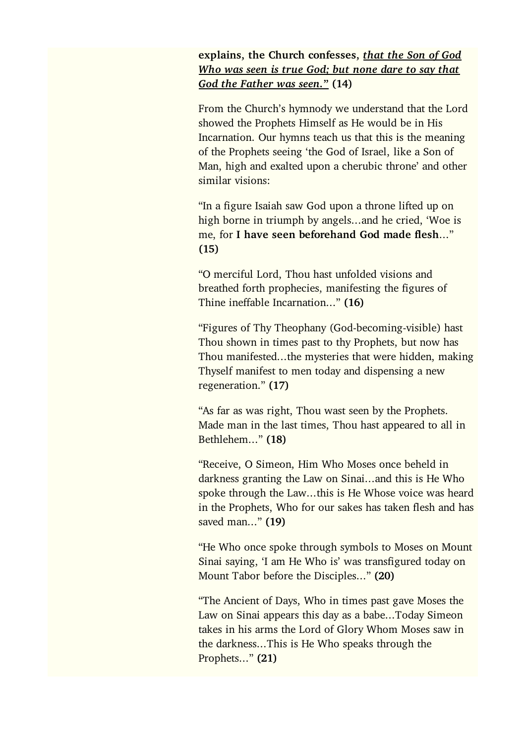## explains, the Church confesses, that the Son of God Who was seen is true God; but none dare to say that God the Father was seen." (14)

From the Church's hymnody we understand that the Lord showed the Prophets Himself as He would be in His Incarnation. Our hymns teach us that this is the meaning of the Prophets seeing 'the God of Israel, like a Son of Man, high and exalted upon a cherubic throne' and other similar visions:

"In a figure Isaiah saw God upon a throne lifted up on high borne in triumph by angels...and he cried, 'Woe is me, for I have seen beforehand God made flesh..."  $(15)$ 

"O merciful Lord, Thou hast unfolded visions and breathed forth prophecies, manifesting the figures of Thine ineffable Incarnation..." (16)

"Figures of Thy Theophany (God-becoming-visible) hast Thou shown in times past to thy Prophets, but now has Thou manifested...the mysteries that were hidden, making Thyself manifest to men today and dispensing a new regeneration." (17)

"As far as was right, Thou wast seen by the Prophets. Made man in the last times, Thou hast appeared to all in Bethlehem..." (18)

"Receive, O Simeon, Him Who Moses once beheld in darkness granting the Law on Sinai...and this is He Who spoke through the Law...this is He Whose voice was heard in the Prophets, Who for our sakes has taken flesh and has saved man..." (19)

"He Who once spoke through symbols to Moses on Mount Sinai saying, 'I am He Who is' was transfigured today on Mount Tabor before the Disciples..." (20)

"The Ancient of Days, Who in times past gave Moses the Law on Sinai appears this day as a babe...Today Simeon takes in his arms the Lord of Glory Whom Moses saw in the darkness...This is He Who speaks through the Prophets..." (21)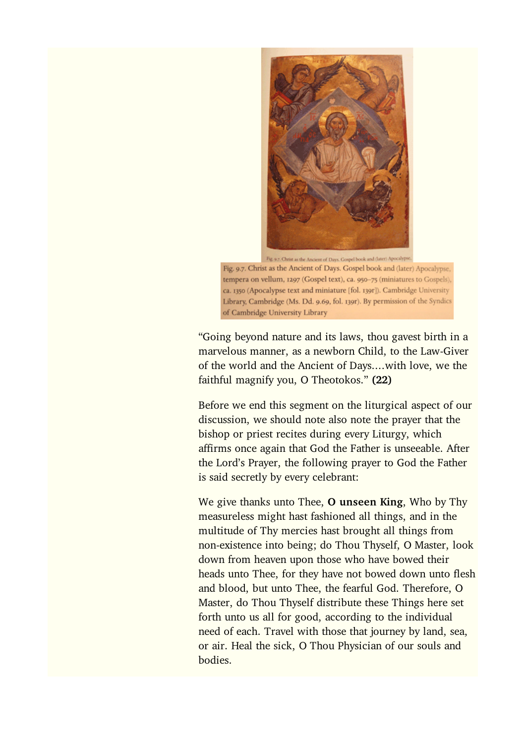

Fig. 9.7. Christ as the Ancient of Days. Gospel book and (later) Apocalyps

Fig. 9.7. Christ as the Ancient of Days. Gospel book and (later) Apocalypse, tempera on vellum, 1297 (Gospel text), ca. 950-75 (miniatures to Gospels), ca. 1350 (Apocalypse text and miniature [fol. 139r]). Cambridge University Library, Cambridge (Ms. Dd. 9.69, fol. 139r). By permission of the Syndics of Cambridge University Library

"Going beyond nature and its laws, thou gavest birth in a marvelous manner, as a newborn Child, to the Law-Giver of the world and the Ancient of Days....with love, we the faithful magnify you, O Theotokos." (22)

Before we end this segment on the liturgical aspect of our discussion, we should note also note the prayer that the bishop or priest recites during every Liturgy, which affirms once again that God the Father is unseeable. After the Lord's Prayer, the following prayer to God the Father is said secretly by every celebrant:

We give thanks unto Thee, **O unseen King**, Who by Thy measureless might hast fashioned all things, and in the multitude of Thy mercies hast brought all things from non-existence into being; do Thou Thyself, O Master, look down from heaven upon those who have bowed their heads unto Thee, for they have not bowed down unto flesh and blood, but unto Thee, the fearful God. Therefore, O Master, do Thou Thyself distribute these Things here set forth unto us all for good, according to the individual need of each. Travel with those that journey by land, sea, or air. Heal the sick, O Thou Physician of our souls and bodies.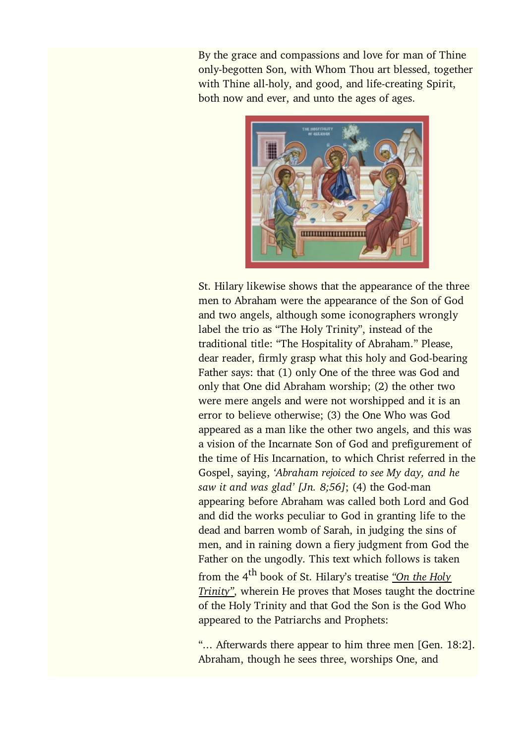By the grace and compassions and love for man of Thine only-begotten Son, with Whom Thou art blessed, together with Thine all-holy, and good, and life-creating Spirit, both now and ever, and unto the ages of ages.



St. Hilary likewise shows that the appearance of the three men to Abraham were the appearance of the Son of God and two angels, although some iconographers wrongly label the trio as "The Holy Trinity", instead of the traditional title: "The Hospitality of Abraham." Please, dear reader, firmly grasp what this holy and God-bearing Father says: that (1) only One of the three was God and only that One did Abraham worship; (2) the other two were mere angels and were not worshipped and it is an error to believe otherwise; (3) the One Who was God appeared as a man like the other two angels, and this was a vision of the Incarnate Son of God and prefigurement of the time of His Incarnation, to which Christ referred in the Gospel, saying, 'Abraham rejoiced to see My day, and he saw it and was glad' [Jn. 8;56]; (4) the God-man appearing before Abraham was called both Lord and God and did the works peculiar to God in granting life to the dead and barren womb of Sarah, in judging the sins of men, and in raining down a fiery judgment from God the Father on the ungodly. This text which follows is taken from the  $4<sup>th</sup>$  book of St. Hilary's treatise "On the Holy Trinity", wherein He proves that Moses taught the doctrine of the Holy Trinity and that God the Son is the God Who appeared to the Patriarchs and Prophets:

"... Afterwards there appear to him three men [Gen. 18:2]. Abraham, though he sees three, worships One, and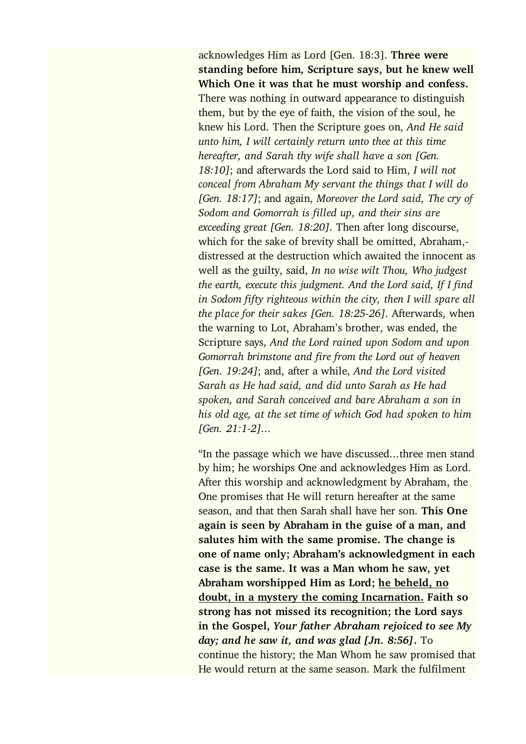acknowledges Him as Lord [Gen. 18:3]. Three were standing before him, Scripture says, but he knew well Which One it was that he must worship and confess. There was nothing in outward appearance to distinguish them, but by the eye of faith, the vision of the soul, he knew his Lord. Then the Scripture goes on, And He said unto him, I will certainly return unto thee at this time hereafter, and Sarah thy wife shall have a son [Gen. 18:10]; and afterwards the Lord said to Him, I will not conceal from Abraham My servant the things that I will do [Gen. 18:17]; and again, Moreover the Lord said, The cry of Sodom and Gomorrah is filled up, and their sins are exceeding great [Gen. 18:20]. Then after long discourse, which for the sake of brevity shall be omitted, Abraham, distressed at the destruction which awaited the innocent as well as the guilty, said, In no wise wilt Thou, Who judgest the earth, execute this judgment. And the Lord said, If I find in Sodom fifty righteous within the city, then I will spare all the place for their sakes [Gen. 18:25-26]. Afterwards, when the warning to Lot, Abraham's brother, was ended, the Scripture says, And the Lord rained upon Sodom and upon Gomorrah brimstone and fire from the Lord out of heaven [Gen. 19:24]; and, after a while, And the Lord visited Sarah as He had said, and did unto Sarah as He had spoken, and Sarah conceived and bare Abraham a son in his old age, at the set time of which God had spoken to him [Gen. 21:1-2]...

"In the passage which we have discussed...three men stand by him; he worships One and acknowledges Him as Lord. After this worship and acknowledgment by Abraham, the One promises that He will return hereafter at the same season, and that then Sarah shall have her son. This One again is seen by Abraham in the guise of a man, and salutes him with the same promise. The change is one of name only; Abraham's acknowledgment in each case is the same. It was a Man whom he saw, yet Abraham worshipped Him as Lord; he beheld, no doubt, in a mystery the coming Incarnation. Faith so strong has not missed its recognition; the Lord says in the Gospel, Your father Abraham rejoiced to see My day; and he saw it, and was glad [Jn. 8:56]. To continue the history; the Man Whom he saw promised that He would return at the same season. Mark the fulfilment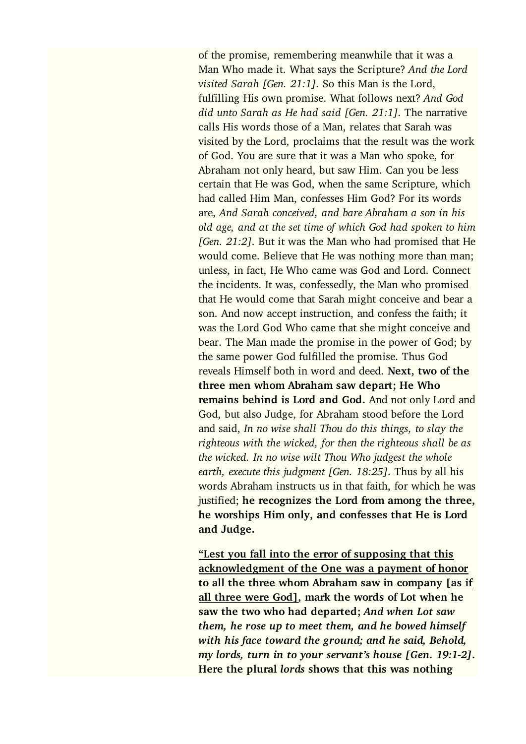of the promise, remembering meanwhile that it was a Man Who made it. What says the Scripture? And the Lord visited Sarah [Gen. 21:1]. So this Man is the Lord, fulfilling His own promise. What follows next? And God did unto Sarah as He had said  $[Gen. 21:11]$ . The narrative calls His words those of a Man, relates that Sarah was visited by the Lord, proclaims that the result was the work of God. You are sure that it was a Man who spoke, for Abraham not only heard, but saw Him. Can you be less certain that He was God, when the same Scripture, which had called Him Man, confesses Him God? For its words are, And Sarah conceived, and bare Abraham a son in his old age, and at the set time of which God had spoken to him [Gen. 21:2]. But it was the Man who had promised that He would come. Believe that He was nothing more than man; unless, in fact, He Who came was God and Lord. Connect the incidents. It was, confessedly, the Man who promised that He would come that Sarah might conceive and bear a son. And now accept instruction, and confess the faith; it was the Lord God Who came that she might conceive and bear. The Man made the promise in the power of God; by the same power God fulfilled the promise. Thus God reveals Himself both in word and deed. Next, two of the three men whom Abraham saw depart; He Who remains behind is Lord and God. And not only Lord and God, but also Judge, for Abraham stood before the Lord and said, In no wise shall Thou do this things, to slay the righteous with the wicked, for then the righteous shall be as the wicked. In no wise wilt Thou Who judgest the whole earth, execute this judgment [Gen. 18:25]. Thus by all his words Abraham instructs us in that faith, for which he was justified; he recognizes the Lord from among the three, he worships Him only, and confesses that He is Lord and Judge.

"Lest you fall into the error of supposing that this acknowledgment of the One was a payment of honor to all the three whom Abraham saw in company [as if all three were God], mark the words of Lot when he saw the two who had departed; And when Lot saw them, he rose up to meet them, and he bowed himself with his face toward the ground; and he said, Behold, my lords, turn in to your servant's house [Gen. 19:1-2]. Here the plural lords shows that this was nothing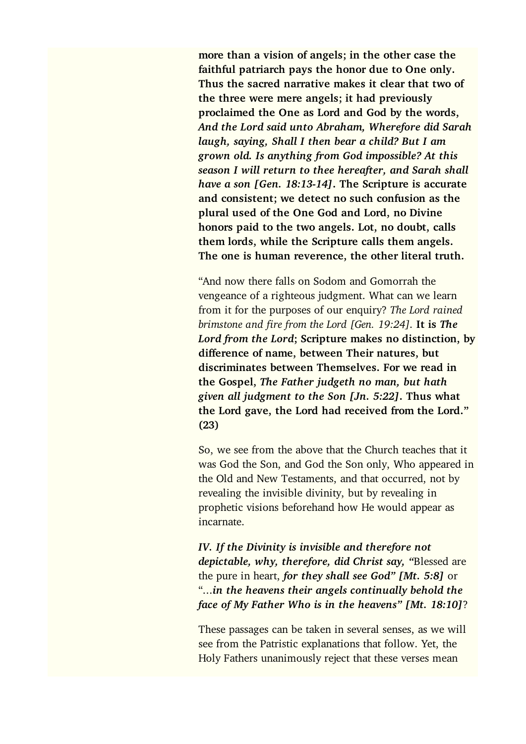more than a vision of angels; in the other case the faithful patriarch pays the honor due to One only. Thus the sacred narrative makes it clear that two of the three were mere angels; it had previously proclaimed the One as Lord and God by the words, And the Lord said unto Abraham, Wherefore did Sarah laugh, saying, Shall I then bear a child? But I am grown old. Is anything from God impossible? At this season I will return to thee hereafter, and Sarah shall have a son [Gen. 18:13-14]. The Scripture is accurate and consistent; we detect no such confusion as the plural used of the One God and Lord, no Divine honors paid to the two angels. Lot, no doubt, calls them lords, while the Scripture calls them angels. The one is human reverence, the other literal truth.

"And now there falls on Sodom and Gomorrah the vengeance of a righteous judgment. What can we learn from it for the purposes of our enquiry? The Lord rained brimstone and fire from the Lord [Gen. 19:24]. It is The Lord from the Lord; Scripture makes no distinction, by difference of name, between Their natures, but discriminates between Themselves. For we read in the Gospel, The Father judgeth no man, but hath given all judgment to the Son [Jn. 5:22]. Thus what the Lord gave, the Lord had received from the Lord." (23)

So, we see from the above that the Church teaches that it was God the Son, and God the Son only, Who appeared in the Old and New Testaments, and that occurred, not by revealing the invisible divinity, but by revealing in prophetic visions beforehand how He would appear as incarnate.

IV. If the Divinity is invisible and therefore not depictable, why, therefore, did Christ say, "Blessed are the pure in heart, for they shall see God" [Mt. 5:8] or "...in the heavens their angels continually behold the face of My Father Who is in the heavens" [Mt. 18:10]?

These passages can be taken in several senses, as we will see from the Patristic explanations that follow. Yet, the Holy Fathers unanimously reject that these verses mean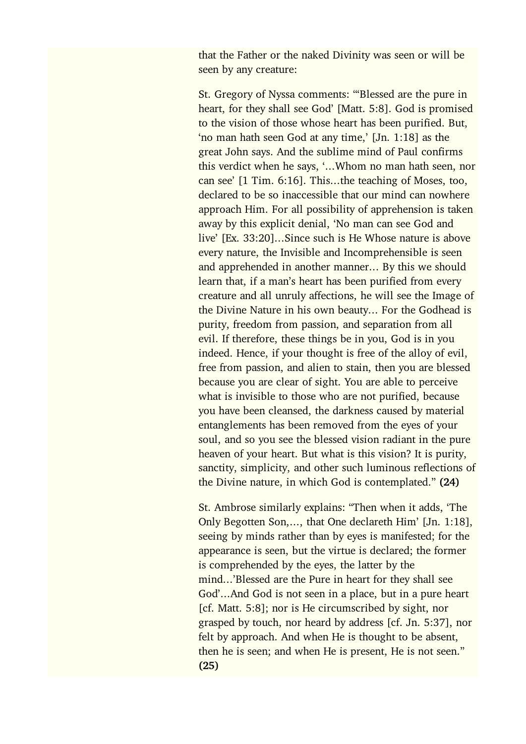that the Father or the naked Divinity was seen or will be seen by any creature:

St. Gregory of Nyssa comments: "'Blessed are the pure in heart, for they shall see God' [Matt. 5:8]. God is promised to the vision of those whose heart has been purified. But, 'no man hath seen God at any time,' [Jn. 1:18] as the great John says. And the sublime mind of Paul confirms this verdict when he says, '...Whom no man hath seen, nor can see' [1 Tim. 6:16]. This...the teaching of Moses, too, declared to be so inaccessible that our mind can nowhere approach Him. For all possibility of apprehension is taken away by this explicit denial, 'No man can see God and live' [Ex. 33:20]...Since such is He Whose nature is above every nature, the Invisible and Incomprehensible is seen and apprehended in another manner... By this we should learn that, if a man's heart has been purified from every creature and all unruly affections, he will see the Image of the Divine Nature in his own beauty... For the Godhead is purity, freedom from passion, and separation from all evil. If therefore, these things be in you, God is in you indeed. Hence, if your thought is free of the alloy of evil, free from passion, and alien to stain, then you are blessed because you are clear of sight. You are able to perceive what is invisible to those who are not purified, because you have been cleansed, the darkness caused by material entanglements has been removed from the eyes of your soul, and so you see the blessed vision radiant in the pure heaven of your heart. But what is this vision? It is purity, sanctity, simplicity, and other such luminous reflections of the Divine nature, in which God is contemplated." (24)

St. Ambrose similarly explains: "Then when it adds, 'The Only Begotten Son,..., that One declareth Him' [Jn. 1:18], seeing by minds rather than by eyes is manifested; for the appearance is seen, but the virtue is declared; the former is comprehended by the eyes, the latter by the mind...'Blessed are the Pure in heart for they shall see God'...And God is not seen in a place, but in a pure heart [cf. Matt. 5:8]; nor is He circumscribed by sight, nor grasped by touch, nor heard by address [cf. Jn. 5:37], nor felt by approach. And when He is thought to be absent, then he is seen; and when He is present, He is not seen." (25)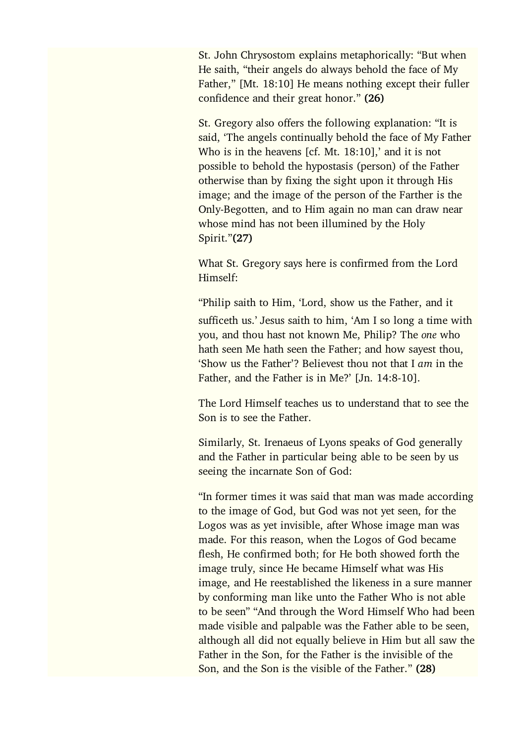St. John Chrysostom explains metaphorically: "But when He saith, "their angels do always behold the face of My Father," [Mt. 18:10] He means nothing except their fuller confidence and their great honor." (26)

St. Gregory also offers the following explanation: "It is said, 'The angels continually behold the face of My Father Who is in the heavens [cf. Mt. 18:10],' and it is not possible to behold the hypostasis (person) of the Father otherwise than by fixing the sight upon it through His image; and the image of the person of the Farther is the Only-Begotten, and to Him again no man can draw near whose mind has not been illumined by the Holy Spirit."(27)

What St. Gregory says here is confirmed from the Lord Himself:

"Philip saith to Him, 'Lord, show us the Father, and it sufficeth us.' Jesus saith to him, 'Am I so long a time with you, and thou hast not known Me, Philip? The one who hath seen Me hath seen the Father; and how sayest thou, 'Show us the Father'? Believest thou not that I am in the Father, and the Father is in Me?' [Jn. 14:8-10].

The Lord Himself teaches us to understand that to see the Son is to see the Father.

Similarly, St. Irenaeus of Lyons speaks of God generally and the Father in particular being able to be seen by us seeing the incarnate Son of God:

"In former times it was said that man was made according to the image of God, but God was not yet seen, for the Logos was as yet invisible, after Whose image man was made. For this reason, when the Logos of God became flesh, He confirmed both; for He both showed forth the image truly, since He became Himself what was His image, and He reestablished the likeness in a sure manner by conforming man like unto the Father Who is not able to be seen" "And through the Word Himself Who had been made visible and palpable was the Father able to be seen, although all did not equally believe in Him but all saw the Father in the Son, for the Father is the invisible of the Son, and the Son is the visible of the Father." (28)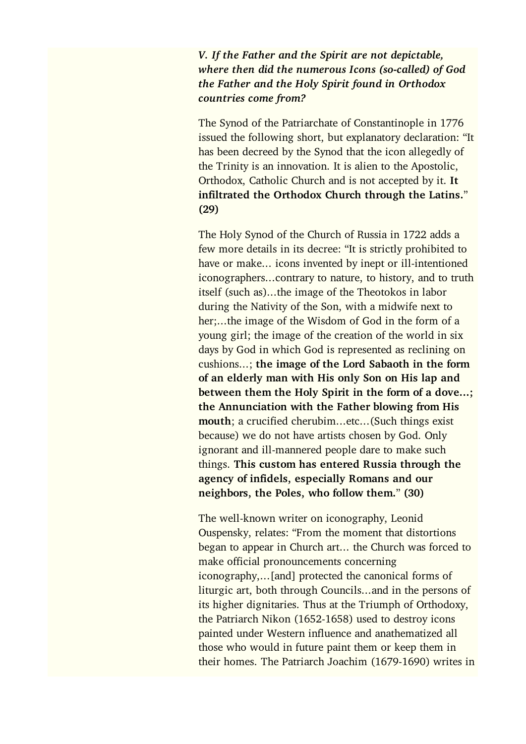## V. If the Father and the Spirit are not depictable, where then did the numerous Icons (so-called) of God the Father and the Holy Spirit found in Orthodox countries come from?

The Synod of the Patriarchate of Constantinople in 1776 issued the following short, but explanatory declaration: "It has been decreed by the Synod that the icon allegedly of the Trinity is an innovation. It is alien to the Apostolic, Orthodox, Catholic Church and is not accepted by it. It infiltrated the Orthodox Church through the Latins." (29)

The Holy Synod of the Church of Russia in 1722 adds a few more details in its decree: "It is strictly prohibited to have or make... icons invented by inept or ill-intentioned iconographers...contrary to nature, to history, and to truth itself (such as)...the image of the Theotokos in labor during the Nativity of the Son, with a midwife next to her;...the image of the Wisdom of God in the form of a young girl; the image of the creation of the world in six days by God in which God is represented as reclining on cushions...; the image of the Lord Sabaoth in the form of an elderly man with His only Son on His lap and between them the Holy Spirit in the form of a dove...; the Annunciation with the Father blowing from His mouth; a crucified cherubim...etc...(Such things exist because) we do not have artists chosen by God. Only ignorant and ill-mannered people dare to make such things. This custom has entered Russia through the agency of infidels, especially Romans and our neighbors, the Poles, who follow them." (30)

The well-known writer on iconography, Leonid Ouspensky, relates: "From the moment that distortions began to appear in Church art... the Church was forced to make official pronouncements concerning iconography,...[and] protected the canonical forms of liturgic art, both through Councils...and in the persons of its higher dignitaries. Thus at the Triumph of Orthodoxy, the Patriarch Nikon (1652-1658) used to destroy icons painted under Western influence and anathematized all those who would in future paint them or keep them in their homes. The Patriarch Joachim (1679-1690) writes in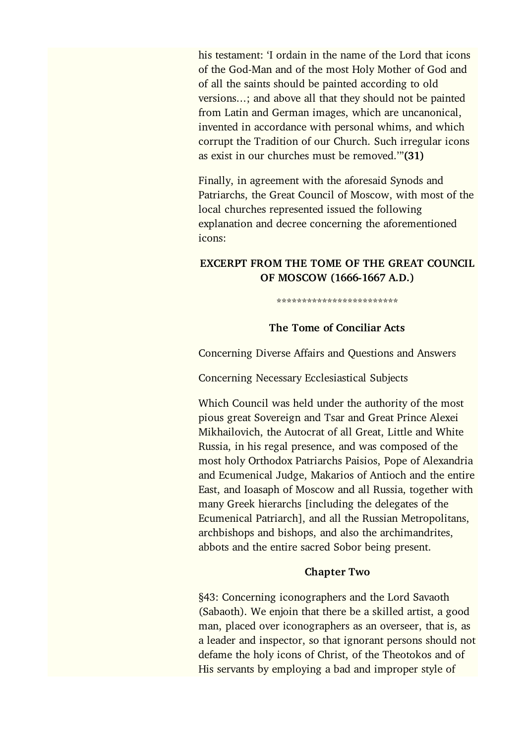his testament: 'I ordain in the name of the Lord that icons of the God-Man and of the most Holy Mother of God and of all the saints should be painted according to old versions...; and above all that they should not be painted from Latin and German images, which are uncanonical, invented in accordance with personal whims, and which corrupt the Tradition of our Church. Such irregular icons as exist in our churches must be removed.'"(31)

Finally, in agreement with the aforesaid Synods and Patriarchs, the Great Council of Moscow, with most of the local churches represented issued the following explanation and decree concerning the aforementioned icons:

#### EXCERPT FROM THE TOME OF THE GREAT COUNCIL OF MOSCOW (1666-1667 A.D.)

\*\*\*\*\*\*\*\*\*\*\*\*\*\*\*\*\*\*\*\*\*\*\*\*

#### The Tome of Conciliar Acts

Concerning Diverse Affairs and Questions and Answers

Concerning Necessary Ecclesiastical Subjects

Which Council was held under the authority of the most pious great Sovereign and Tsar and Great Prince Alexei Mikhailovich, the Autocrat of all Great, Little and White Russia, in his regal presence, and was composed of the most holy Orthodox Patriarchs Paisios, Pope of Alexandria and Ecumenical Judge, Makarios of Antioch and the entire East, and Ioasaph of Moscow and all Russia, together with many Greek hierarchs [including the delegates of the Ecumenical Patriarch], and all the Russian Metropolitans, archbishops and bishops, and also the archimandrites, abbots and the entire sacred Sobor being present.

#### Chapter Two

§43: Concerning iconographers and the Lord Savaoth (Sabaoth). We enjoin that there be a skilled artist, a good man, placed over iconographers as an overseer, that is, as a leader and inspector, so that ignorant persons should not defame the holy icons of Christ, of the Theotokos and of His servants by employing a bad and improper style of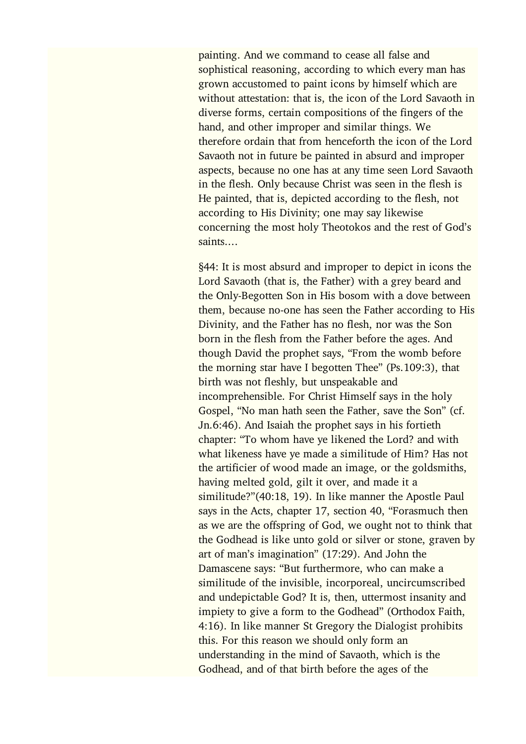painting. And we command to cease all false and sophistical reasoning, according to which every man has grown accustomed to paint icons by himself which are without attestation: that is, the icon of the Lord Savaoth in diverse forms, certain compositions of the fingers of the hand, and other improper and similar things. We therefore ordain that from henceforth the icon of the Lord Savaoth not in future be painted in absurd and improper aspects, because no one has at any time seen Lord Savaoth in the flesh. Only because Christ was seen in the flesh is He painted, that is, depicted according to the flesh, not according to His Divinity; one may say likewise concerning the most holy Theotokos and the rest of God's saints....

§44: It is most absurd and improper to depict in icons the Lord Savaoth (that is, the Father) with a grey beard and the Only-Begotten Son in His bosom with a dove between them, because no-one has seen the Father according to His Divinity, and the Father has no flesh, nor was the Son born in the flesh from the Father before the ages. And though David the prophet says, "From the womb before the morning star have I begotten Thee" (Ps.109:3), that birth was not fleshly, but unspeakable and incomprehensible. For Christ Himself says in the holy Gospel, "No man hath seen the Father, save the Son" (cf. Jn.6:46). And Isaiah the prophet says in his fortieth chapter: "To whom have ye likened the Lord? and with what likeness have ye made a similitude of Him? Has not the artificier of wood made an image, or the goldsmiths, having melted gold, gilt it over, and made it a similitude?"(40:18, 19). In like manner the Apostle Paul says in the Acts, chapter 17, section 40, "Forasmuch then as we are the offspring of God, we ought not to think that the Godhead is like unto gold or silver or stone, graven by art of man's imagination" (17:29). And John the Damascene says: "But furthermore, who can make a similitude of the invisible, incorporeal, uncircumscribed and undepictable God? It is, then, uttermost insanity and impiety to give a form to the Godhead" (Orthodox Faith, 4:16). In like manner St Gregory the Dialogist prohibits this. For this reason we should only form an understanding in the mind of Savaoth, which is the Godhead, and of that birth before the ages of the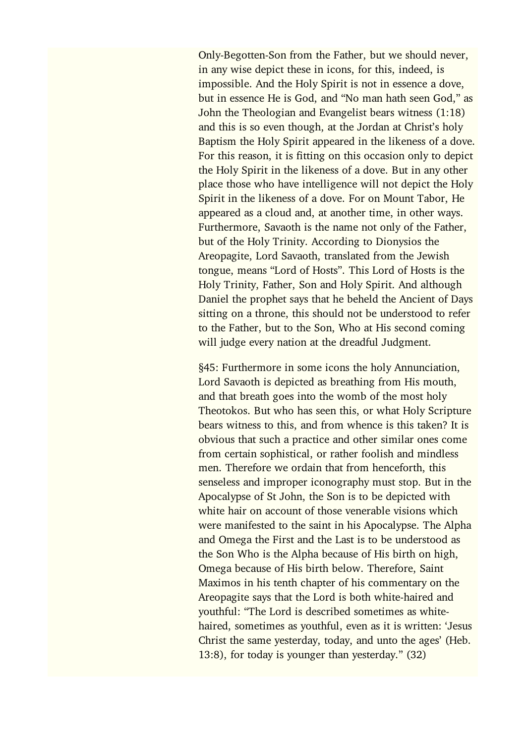Only-Begotten-Son from the Father, but we should never, in any wise depict these in icons, for this, indeed, is impossible. And the Holy Spirit is not in essence a dove, but in essence He is God, and "No man hath seen God," as John the Theologian and Evangelist bears witness (1:18) and this is so even though, at the Jordan at Christ's holy Baptism the Holy Spirit appeared in the likeness of a dove. For this reason, it is fitting on this occasion only to depict the Holy Spirit in the likeness of a dove. But in any other place those who have intelligence will not depict the Holy Spirit in the likeness of a dove. For on Mount Tabor, He appeared as a cloud and, at another time, in other ways. Furthermore, Savaoth is the name not only of the Father, but of the Holy Trinity. According to Dionysios the Areopagite, Lord Savaoth, translated from the Jewish tongue, means "Lord of Hosts". This Lord of Hosts is the Holy Trinity, Father, Son and Holy Spirit. And although Daniel the prophet says that he beheld the Ancient of Days sitting on a throne, this should not be understood to refer to the Father, but to the Son, Who at His second coming will judge every nation at the dreadful Judgment.

§45: Furthermore in some icons the holy Annunciation, Lord Savaoth is depicted as breathing from His mouth, and that breath goes into the womb of the most holy Theotokos. But who has seen this, or what Holy Scripture bears witness to this, and from whence is this taken? It is obvious that such a practice and other similar ones come from certain sophistical, or rather foolish and mindless men. Therefore we ordain that from henceforth, this senseless and improper iconography must stop. But in the Apocalypse of St John, the Son is to be depicted with white hair on account of those venerable visions which were manifested to the saint in his Apocalypse. The Alpha and Omega the First and the Last is to be understood as the Son Who is the Alpha because of His birth on high, Omega because of His birth below. Therefore, Saint Maximos in his tenth chapter of his commentary on the Areopagite says that the Lord is both white-haired and youthful: "The Lord is described sometimes as whitehaired, sometimes as youthful, even as it is written: 'Jesus Christ the same yesterday, today, and unto the ages' (Heb. 13:8), for today is younger than yesterday." (32)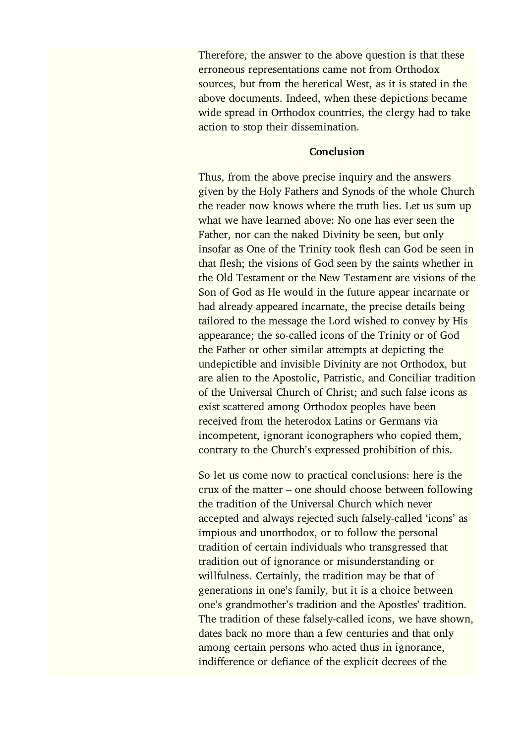Therefore, the answer to the above question is that these erroneous representations came not from Orthodox sources, but from the heretical West, as it is stated in the above documents. Indeed, when these depictions became wide spread in Orthodox countries, the clergy had to take action to stop their dissemination.

#### Conclusion

Thus, from the above precise inquiry and the answers given by the Holy Fathers and Synods of the whole Church the reader now knows where the truth lies. Let us sum up what we have learned above: No one has ever seen the Father, nor can the naked Divinity be seen, but only insofar as One of the Trinity took flesh can God be seen in that flesh; the visions of God seen by the saints whether in the Old Testament or the New Testament are visions of the Son of God as He would in the future appear incarnate or had already appeared incarnate, the precise details being tailored to the message the Lord wished to convey by His appearance; the so-called icons of the Trinity or of God the Father or other similar attempts at depicting the undepictible and invisible Divinity are not Orthodox, but are alien to the Apostolic, Patristic, and Conciliar tradition of the Universal Church of Christ; and such false icons as exist scattered among Orthodox peoples have been received from the heterodox Latins or Germans via incompetent, ignorant iconographers who copied them, contrary to the Church's expressed prohibition of this.

So let us come now to practical conclusions: here is the crux of the matter – one should choose between following the tradition of the Universal Church which never accepted and always rejected such falsely-called 'icons' as impious and unorthodox, or to follow the personal tradition of certain individuals who transgressed that tradition out of ignorance or misunderstanding or willfulness. Certainly, the tradition may be that of generations in one's family, but it is a choice between one's grandmother's tradition and the Apostles' tradition. The tradition of these falsely-called icons, we have shown, dates back no more than a few centuries and that only among certain persons who acted thus in ignorance, indifference or defiance of the explicit decrees of the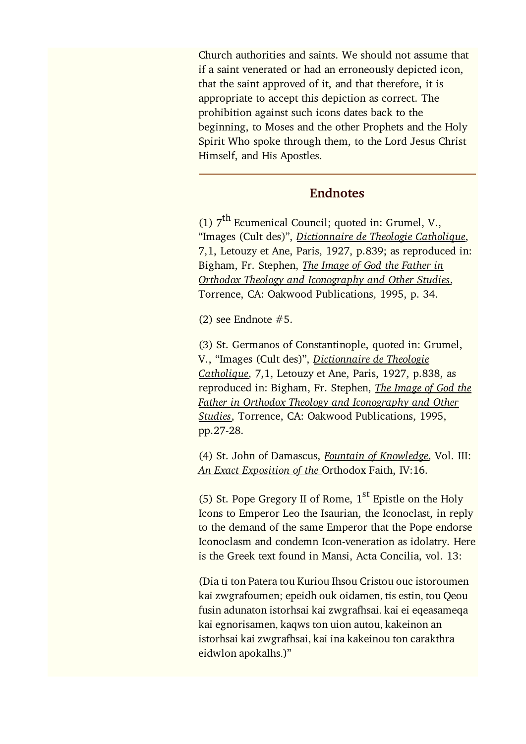Church authorities and saints. We should not assume that if a saint venerated or had an erroneously depicted icon, that the saint approved of it, and that therefore, it is appropriate to accept this depiction as correct. The prohibition against such icons dates back to the beginning, to Moses and the other Prophets and the Holy Spirit Who spoke through them, to the Lord Jesus Christ Himself, and His Apostles.

#### **Endnotes**

(1)  $7<sup>th</sup>$  Ecumenical Council; quoted in: Grumel, V., "Images (Cult des)", Dictionnaire de Theologie Catholique, 7,1, Letouzy et Ane, Paris, 1927, p.839; as reproduced in: Bigham, Fr. Stephen, The Image of God the Father in Orthodox Theology and Iconography and Other Studies, Torrence, CA: Oakwood Publications, 1995, p. 34.

(2) see Endnote #5.

(3) St. Germanos of Constantinople, quoted in: Grumel, V., "Images (Cult des)", Dictionnaire de Theologie Catholique, 7,1, Letouzy et Ane, Paris, 1927, p.838, as reproduced in: Bigham, Fr. Stephen, The Image of God the Father in Orthodox Theology and Iconography and Other Studies, Torrence, CA: Oakwood Publications, 1995, pp.27-28.

(4) St. John of Damascus, Fountain of Knowledge, Vol. III: An Exact Exposition of the Orthodox Faith, IV:16.

(5) St. Pope Gregory II of Rome,  $1<sup>st</sup>$  Epistle on the Holy Icons to Emperor Leo the Isaurian, the Iconoclast, in reply to the demand of the same Emperor that the Pope endorse Iconoclasm and condemn Icon-veneration as idolatry. Here is the Greek text found in Mansi, Acta Concilia, vol. 13:

(Dia ti ton Patera tou Kuriou Ihsou Cristou ouc istoroumen kai zwgrafoumen; epeidh ouk oidamen, tis estin, tou Qeou fusin adunaton istorhsai kai zwgrafhsai. kai ei eqeasameqa kai egnorisamen, kaqws ton uion autou, kakeinon an istorhsai kai zwgrafhsai, kai ina kakeinou ton carakthra eidwlon apokalhs.)"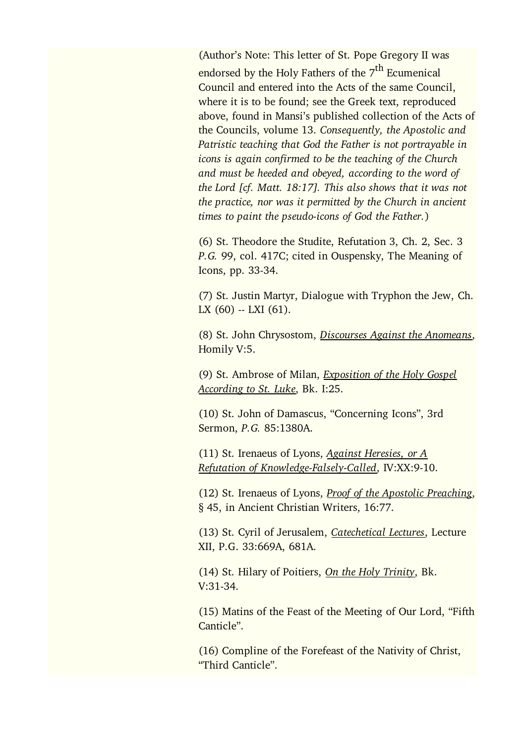(Author's Note: This letter of St. Pope Gregory II was endorsed by the Holy Fathers of the  $7<sup>th</sup>$  Ecumenical Council and entered into the Acts of the same Council, where it is to be found; see the Greek text, reproduced above, found in Mansi's published collection of the Acts of the Councils, volume 13. Consequently, the Apostolic and Patristic teaching that God the Father is not portrayable in icons is again confirmed to be the teaching of the Church and must be heeded and obeyed, according to the word of the Lord [cf. Matt. 18:17]. This also shows that it was not the practice, nor was it permitted by the Church in ancient times to paint the pseudo-icons of God the Father.)

(6) St. Theodore the Studite, Refutation 3, Ch. 2, Sec. 3 P.G. 99, col. 417C; cited in Ouspensky, The Meaning of Icons, pp. 33-34.

(7) St. Justin Martyr, Dialogue with Tryphon the Jew, Ch. LX (60) -- LXI (61).

(8) St. John Chrysostom, Discourses Against the Anomeans, Homily V:5.

(9) St. Ambrose of Milan, Exposition of the Holy Gospel According to St. Luke, Bk. I:25.

(10) St. John of Damascus, "Concerning Icons", 3rd Sermon, P.G. 85:1380A.

(11) St. Irenaeus of Lyons, Against Heresies, or A Refutation of Knowledge-Falsely-Called, IV:XX:9-10.

(12) St. Irenaeus of Lyons, Proof of the Apostolic Preaching, § 45, in Ancient Christian Writers, 16:77.

(13) St. Cyril of Jerusalem, Catechetical Lectures, Lecture XII, P.G. 33:669A, 681A.

(14) St. Hilary of Poitiers, On the Holy Trinity, Bk. V:31-34.

(15) Matins of the Feast of the Meeting of Our Lord, "Fifth Canticle".

(16) Compline of the Forefeast of the Nativity of Christ, "Third Canticle".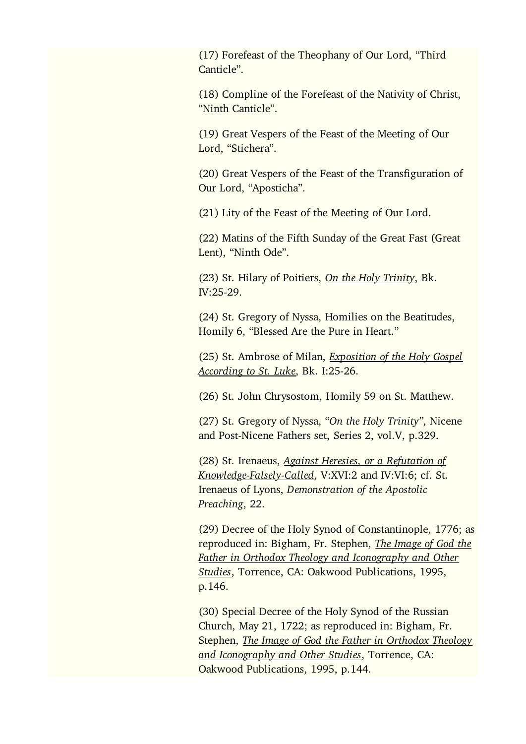(17) Forefeast of the Theophany of Our Lord, "Third Canticle".

(18) Compline of the Forefeast of the Nativity of Christ, "Ninth Canticle".

(19) Great Vespers of the Feast of the Meeting of Our Lord, "Stichera".

(20) Great Vespers of the Feast of the Transfiguration of Our Lord, "Aposticha".

(21) Lity of the Feast of the Meeting of Our Lord.

(22) Matins of the Fifth Sunday of the Great Fast (Great Lent), "Ninth Ode".

(23) St. Hilary of Poitiers, On the Holy Trinity, Bk. IV:25-29.

(24) St. Gregory of Nyssa, Homilies on the Beatitudes, Homily 6, "Blessed Are the Pure in Heart."

(25) St. Ambrose of Milan, Exposition of the Holy Gospel According to St. Luke, Bk. I:25-26.

(26) St. John Chrysostom, Homily 59 on St. Matthew.

(27) St. Gregory of Nyssa, "On the Holy Trinity", Nicene and Post-Nicene Fathers set, Series 2, vol.V, p.329.

(28) St. Irenaeus, Against Heresies, or a Refutation of Knowledge-Falsely-Called, V:XVI:2 and IV:VI:6; cf. St. Irenaeus of Lyons, Demonstration of the Apostolic Preaching, 22.

(29) Decree of the Holy Synod of Constantinople, 1776; as reproduced in: Bigham, Fr. Stephen, The Image of God the Father in Orthodox Theology and Iconography and Other Studies, Torrence, CA: Oakwood Publications, 1995, p.146.

(30) Special Decree of the Holy Synod of the Russian Church, May 21, 1722; as reproduced in: Bigham, Fr. Stephen, The Image of God the Father in Orthodox Theology and Iconography and Other Studies, Torrence, CA: Oakwood Publications, 1995, p.144.